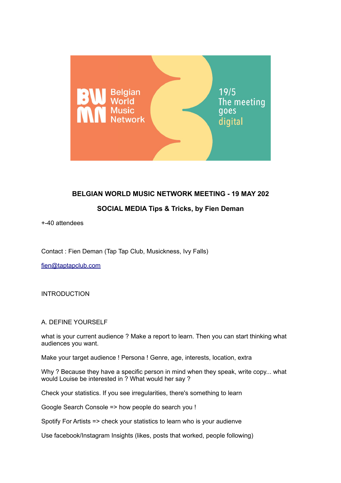

# **BELGIAN WORLD MUSIC NETWORK MEETING - 19 MAY 202**

# **SOCIAL MEDIA Tips & Tricks, by Fien Deman**

+-40 attendees

Contact : Fien Deman (Tap Tap Club, Musickness, Ivy Falls)

fien@taptapclub.com

INTRODUCTION

### A. DEFINE YOURSELF

what is your current audience ? Make a report to learn. Then you can start thinking what audiences you want.

Make your target audience ! Persona ! Genre, age, interests, location, extra

Why ? Because they have a specific person in mind when they speak, write copy... what would Louise be interested in ? What would her say ?

Check your statistics. If you see irregularities, there's something to learn

Google Search Console => how people do search you !

Spotify For Artists => check your statistics to learn who is your audienve

Use facebook/Instagram Insights (likes, posts that worked, people following)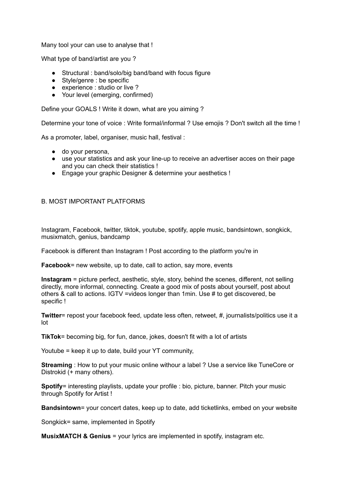Many tool your can use to analyse that !

What type of band/artist are you ?

- Structural : band/solo/big band/band with focus figure
- Style/genre : be specific
- experience : studio or live ?
- Your level (emerging, confirmed)

Define your GOALS ! Write it down, what are you aiming ?

Determine your tone of voice : Write formal/informal ? Use emojis ? Don't switch all the time !

As a promoter, label, organiser, music hall, festival :

- do your persona,
- use your statistics and ask your line-up to receive an advertiser acces on their page and you can check their statistics !
- Engage your graphic Designer & determine your aesthetics !

#### B. MOST IMPORTANT PLATFORMS

Instagram, Facebook, twitter, tiktok, youtube, spotify, apple music, bandsintown, songkick, musixmatch, genius, bandcamp

Facebook is different than Instagram ! Post according to the platform you're in

**Facebook**= new website, up to date, call to action, say more, events

**Instagram** = picture perfect, aesthetic, style, story, behind the scenes, different, not selling directly, more informal, connecting. Create a good mix of posts about yourself, post about others & call to actions. IGTV =videos longer than 1min. Use # to get discovered, be specific !

**Twitter**= repost your facebook feed, update less often, retweet, #, journalists/politics use it a lot

**TikTok**= becoming big, for fun, dance, jokes, doesn't fit with a lot of artists

Youtube = keep it up to date, build your YT community,

**Streaming** : How to put your music online withour a label ? Use a service like TuneCore or Distrokid (+ many others).

**Spotify=** interesting playlists, update your profile : bio, picture, banner. Pitch your music through Spotify for Artist !

**Bandsintown**= your concert dates, keep up to date, add ticketlinks, embed on your website

Songkick= same, implemented in Spotify

**MusixMATCH & Genius** = your lyrics are implemented in spotify, instagram etc.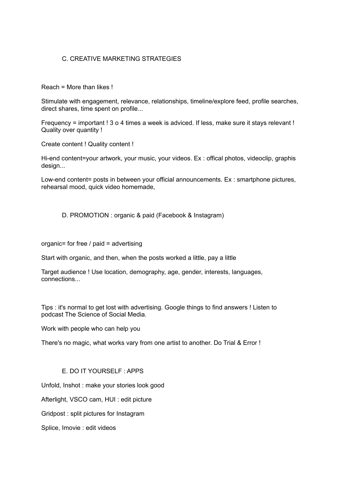## C. CREATIVE MARKETING STRATEGIES

Reach = More than likes !

Stimulate with engagement, relevance, relationships, timeline/explore feed, profile searches, direct shares, time spent on profile...

Frequency = important ! 3 o 4 times a week is adviced. If less, make sure it stays relevant ! Quality over quantity !

Create content ! Quality content !

Hi-end content=your artwork, your music, your videos. Ex : offical photos, videoclip, graphis design...

Low-end content= posts in between your official announcements. Ex : smartphone pictures, rehearsal mood, quick video homemade,

D. PROMOTION : organic & paid (Facebook & Instagram)

organic= for free / paid = advertising

Start with organic, and then, when the posts worked a little, pay a little

Target audience ! Use location, demography, age, gender, interests, languages, connections...

Tips : it's normal to get lost with advertising. Google things to find answers ! Listen to podcast The Science of Social Media.

Work with people who can help you

There's no magic, what works vary from one artist to another. Do Trial & Error !

### E. DO IT YOURSELF : APPS

Unfold, Inshot : make your stories look good

Afterlight, VSCO cam, HUI : edit picture

Gridpost : split pictures for Instagram

Splice, Imovie : edit videos